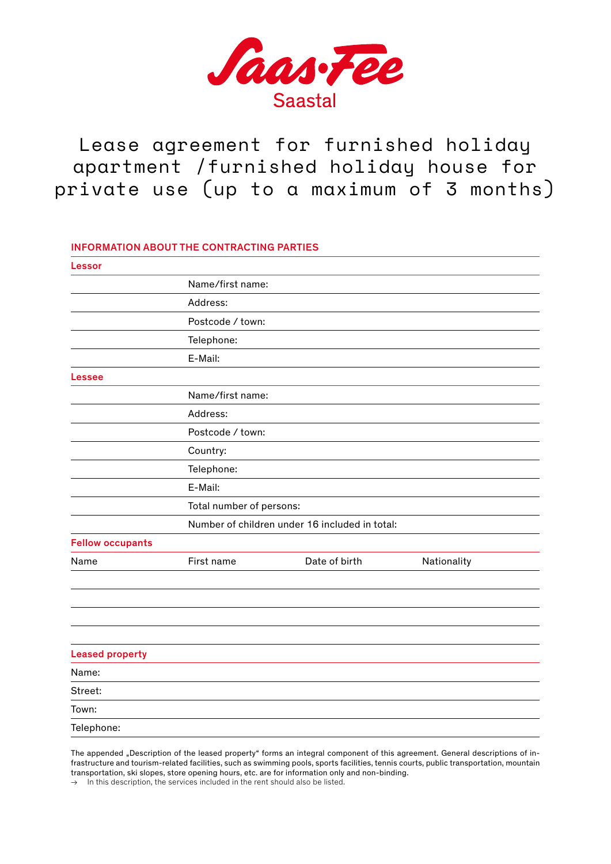

Lease agreement for furnished holiday apartment /furnished holiday house for private use (up to a maximum of 3 months)

# INFORMATION ABOUT THE CONTRACTING PARTIES

| Lessor                  |                          |                                                |             |  |
|-------------------------|--------------------------|------------------------------------------------|-------------|--|
|                         | Name/first name:         |                                                |             |  |
|                         | Address:                 |                                                |             |  |
|                         | Postcode / town:         |                                                |             |  |
|                         | Telephone:               |                                                |             |  |
|                         | E-Mail:                  |                                                |             |  |
| Lessee                  |                          |                                                |             |  |
|                         | Name/first name:         |                                                |             |  |
|                         | Address:                 |                                                |             |  |
|                         | Postcode / town:         |                                                |             |  |
|                         | Country:                 |                                                |             |  |
|                         | Telephone:               |                                                |             |  |
|                         | E-Mail:                  |                                                |             |  |
|                         | Total number of persons: |                                                |             |  |
|                         |                          | Number of children under 16 included in total: |             |  |
| <b>Fellow occupants</b> |                          |                                                |             |  |
| Name                    | First name               | Date of birth                                  | Nationality |  |
|                         |                          |                                                |             |  |
|                         |                          |                                                |             |  |
|                         |                          |                                                |             |  |
|                         |                          |                                                |             |  |
| <b>Leased property</b>  |                          |                                                |             |  |
| Name:                   |                          |                                                |             |  |
| Street:                 |                          |                                                |             |  |
| Town:                   |                          |                                                |             |  |
| Telephone:              |                          |                                                |             |  |

The appended "Description of the leased property" forms an integral component of this agreement. General descriptions of infrastructure and tourism-related facilities, such as swimming pools, sports facilities, tennis courts, public transportation, mountain transportation, ski slopes, store opening hours, etc. are for information only and non-binding.

 $\rightarrow$  In this description, the services included in the rent should also be listed.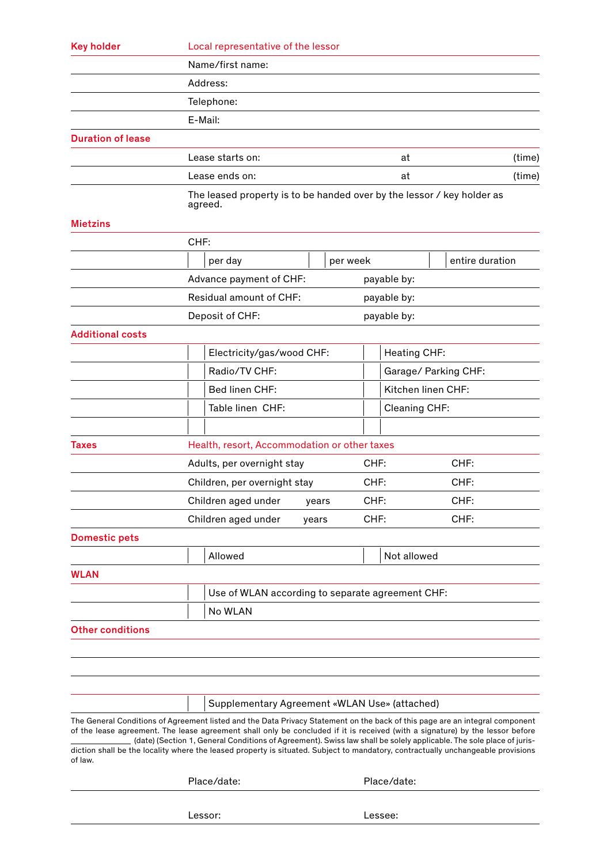| <b>Key holder</b>        | Local representative of the lessor                                                                                                                                                                                                                                                                                                                                                                                                                                                                                       |                                                  |          |                      |                    |                 |  |  |
|--------------------------|--------------------------------------------------------------------------------------------------------------------------------------------------------------------------------------------------------------------------------------------------------------------------------------------------------------------------------------------------------------------------------------------------------------------------------------------------------------------------------------------------------------------------|--------------------------------------------------|----------|----------------------|--------------------|-----------------|--|--|
|                          | Name/first name:                                                                                                                                                                                                                                                                                                                                                                                                                                                                                                         |                                                  |          |                      |                    |                 |  |  |
|                          | Address:                                                                                                                                                                                                                                                                                                                                                                                                                                                                                                                 |                                                  |          |                      |                    |                 |  |  |
|                          | Telephone:                                                                                                                                                                                                                                                                                                                                                                                                                                                                                                               |                                                  |          |                      |                    |                 |  |  |
|                          | E-Mail:                                                                                                                                                                                                                                                                                                                                                                                                                                                                                                                  |                                                  |          |                      |                    |                 |  |  |
| <b>Duration of lease</b> |                                                                                                                                                                                                                                                                                                                                                                                                                                                                                                                          |                                                  |          |                      |                    |                 |  |  |
|                          | Lease starts on:                                                                                                                                                                                                                                                                                                                                                                                                                                                                                                         | Lease ends on:                                   |          | at                   | (time)             |                 |  |  |
|                          |                                                                                                                                                                                                                                                                                                                                                                                                                                                                                                                          |                                                  |          | at                   | (time)             |                 |  |  |
|                          | The leased property is to be handed over by the lessor / key holder as<br>agreed.                                                                                                                                                                                                                                                                                                                                                                                                                                        |                                                  |          |                      |                    |                 |  |  |
| <b>Mietzins</b>          |                                                                                                                                                                                                                                                                                                                                                                                                                                                                                                                          |                                                  |          |                      |                    |                 |  |  |
|                          | CHF:                                                                                                                                                                                                                                                                                                                                                                                                                                                                                                                     |                                                  |          |                      |                    |                 |  |  |
|                          | per day                                                                                                                                                                                                                                                                                                                                                                                                                                                                                                                  |                                                  | per week |                      |                    | entire duration |  |  |
|                          | Advance payment of CHF:                                                                                                                                                                                                                                                                                                                                                                                                                                                                                                  |                                                  |          | payable by:          |                    |                 |  |  |
|                          | Residual amount of CHF:<br>payable by:                                                                                                                                                                                                                                                                                                                                                                                                                                                                                   |                                                  |          |                      |                    |                 |  |  |
|                          | Deposit of CHF:                                                                                                                                                                                                                                                                                                                                                                                                                                                                                                          |                                                  |          | payable by:          |                    |                 |  |  |
| <b>Additional costs</b>  |                                                                                                                                                                                                                                                                                                                                                                                                                                                                                                                          |                                                  |          |                      |                    |                 |  |  |
|                          | Electricity/gas/wood CHF:                                                                                                                                                                                                                                                                                                                                                                                                                                                                                                |                                                  |          | <b>Heating CHF:</b>  |                    |                 |  |  |
|                          | Radio/TV CHF:                                                                                                                                                                                                                                                                                                                                                                                                                                                                                                            |                                                  |          | Garage/ Parking CHF: |                    |                 |  |  |
|                          | Bed linen CHF:                                                                                                                                                                                                                                                                                                                                                                                                                                                                                                           | Table linen CHF:                                 |          |                      | Kitchen linen CHF: |                 |  |  |
|                          |                                                                                                                                                                                                                                                                                                                                                                                                                                                                                                                          |                                                  |          | Cleaning CHF:        |                    |                 |  |  |
| <b>Taxes</b>             | Health, resort, Accommodation or other taxes                                                                                                                                                                                                                                                                                                                                                                                                                                                                             |                                                  |          |                      |                    |                 |  |  |
|                          | Adults, per overnight stay                                                                                                                                                                                                                                                                                                                                                                                                                                                                                               |                                                  |          | CHF:                 |                    | CHF:            |  |  |
|                          | Children, per overnight stay<br>Children aged under years                                                                                                                                                                                                                                                                                                                                                                                                                                                                |                                                  | CHF:     |                      | CHF:               |                 |  |  |
|                          |                                                                                                                                                                                                                                                                                                                                                                                                                                                                                                                          |                                                  | CHF:     |                      | CHF:               |                 |  |  |
|                          | Children aged under                                                                                                                                                                                                                                                                                                                                                                                                                                                                                                      | years                                            | CHF:     |                      |                    | CHF:            |  |  |
| <b>Domestic pets</b>     |                                                                                                                                                                                                                                                                                                                                                                                                                                                                                                                          |                                                  |          |                      |                    |                 |  |  |
|                          | Allowed                                                                                                                                                                                                                                                                                                                                                                                                                                                                                                                  |                                                  |          | Not allowed          |                    |                 |  |  |
| <b>WLAN</b>              |                                                                                                                                                                                                                                                                                                                                                                                                                                                                                                                          |                                                  |          |                      |                    |                 |  |  |
|                          |                                                                                                                                                                                                                                                                                                                                                                                                                                                                                                                          | Use of WLAN according to separate agreement CHF: |          |                      |                    |                 |  |  |
|                          | No WLAN                                                                                                                                                                                                                                                                                                                                                                                                                                                                                                                  |                                                  |          |                      |                    |                 |  |  |
| <b>Other conditions</b>  |                                                                                                                                                                                                                                                                                                                                                                                                                                                                                                                          |                                                  |          |                      |                    |                 |  |  |
|                          |                                                                                                                                                                                                                                                                                                                                                                                                                                                                                                                          |                                                  |          |                      |                    |                 |  |  |
|                          |                                                                                                                                                                                                                                                                                                                                                                                                                                                                                                                          |                                                  |          |                      |                    |                 |  |  |
|                          |                                                                                                                                                                                                                                                                                                                                                                                                                                                                                                                          |                                                  |          |                      |                    |                 |  |  |
|                          | Supplementary Agreement «WLAN Use» (attached)                                                                                                                                                                                                                                                                                                                                                                                                                                                                            |                                                  |          |                      |                    |                 |  |  |
|                          | The General Conditions of Agreement listed and the Data Privacy Statement on the back of this page are an integral component<br>of the lease agreement. The lease agreement shall only be concluded if it is received (with a signature) by the lessor before<br>(date) (Section 1, General Conditions of Agreement). Swiss law shall be solely applicable. The sole place of juris-<br>diction shall be the locality where the leased property is situated. Subject to mandatory, contractually unchangeable provisions |                                                  |          |                      |                    |                 |  |  |
| of law.                  | Place/date:                                                                                                                                                                                                                                                                                                                                                                                                                                                                                                              |                                                  |          |                      |                    |                 |  |  |
|                          |                                                                                                                                                                                                                                                                                                                                                                                                                                                                                                                          | Place/date:                                      |          |                      |                    |                 |  |  |
|                          | Lessor:                                                                                                                                                                                                                                                                                                                                                                                                                                                                                                                  | Lessee:                                          |          |                      |                    |                 |  |  |
|                          |                                                                                                                                                                                                                                                                                                                                                                                                                                                                                                                          |                                                  |          |                      |                    |                 |  |  |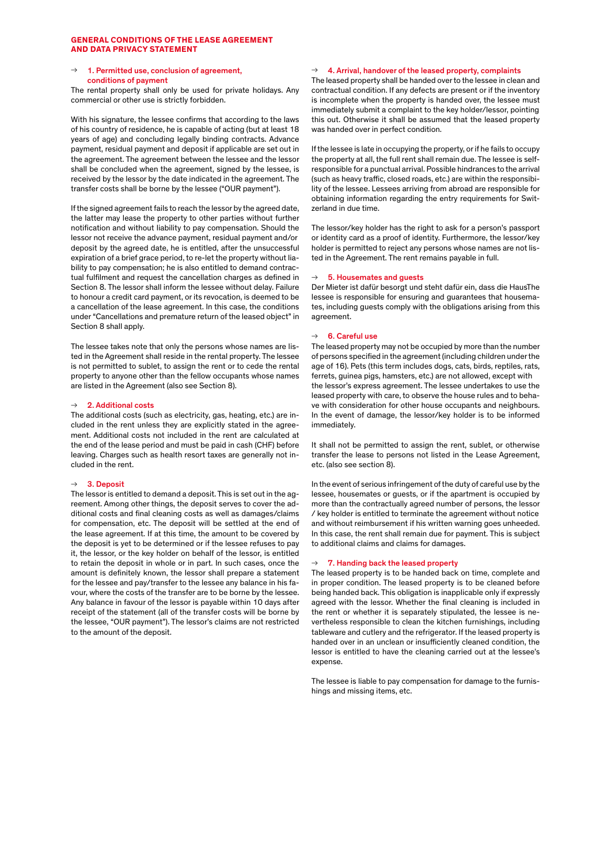# **GENERAL CONDITIONS OF THE LEASE AGREEMENT AND DATA PRIVACY STATEMENT**

## 1. Permitted use, conclusion of agreement, conditions of payment

The rental property shall only be used for private holidays. Any commercial or other use is strictly forbidden.

With his signature, the lessee confirms that according to the laws of his country of residence, he is capable of acting (but at least 18 years of age) and concluding legally binding contracts. Advance payment, residual payment and deposit if applicable are set out in the agreement. The agreement between the lessee and the lessor shall be concluded when the agreement, signed by the lessee, is received by the lessor by the date indicated in the agreement. The transfer costs shall be borne by the lessee ("OUR payment").

If the signed agreement fails to reach the lessor by the agreed date, the latter may lease the property to other parties without further notification and without liability to pay compensation. Should the lessor not receive the advance payment, residual payment and/or deposit by the agreed date, he is entitled, after the unsuccessful expiration of a brief grace period, to re-let the property without liability to pay compensation; he is also entitled to demand contractual fulfilment and request the cancellation charges as defined in Section 8. The lessor shall inform the lessee without delay. Failure to honour a credit card payment, or its revocation, is deemed to be a cancellation of the lease agreement. In this case, the conditions under "Cancellations and premature return of the leased object" in Section 8 shall apply.

The lessee takes note that only the persons whose names are listed in the Agreement shall reside in the rental property. The lessee is not permitted to sublet, to assign the rent or to cede the rental property to anyone other than the fellow occupants whose names are listed in the Agreement (also see Section 8).

## $\rightarrow$  2. Additional costs

The additional costs (such as electricity, gas, heating, etc.) are included in the rent unless they are explicitly stated in the agreement. Additional costs not included in the rent are calculated at the end of the lease period and must be paid in cash (CHF) before leaving. Charges such as health resort taxes are generally not included in the rent.

#### 3. Deposit

The lessor is entitled to demand a deposit. This is set out in the agreement. Among other things, the deposit serves to cover the additional costs and final cleaning costs as well as damages/claims for compensation, etc. The deposit will be settled at the end of the lease agreement. If at this time, the amount to be covered by the deposit is yet to be determined or if the lessee refuses to pay it, the lessor, or the key holder on behalf of the lessor, is entitled to retain the deposit in whole or in part. In such cases, once the amount is definitely known, the lessor shall prepare a statement for the lessee and pay/transfer to the lessee any balance in his favour, where the costs of the transfer are to be borne by the lessee. Any balance in favour of the lessor is payable within 10 days after receipt of the statement (all of the transfer costs will be borne by the lessee, "OUR payment"). The lessor's claims are not restricted to the amount of the deposit.

#### $\rightarrow$  4. Arrival, handover of the leased property, complaints

The leased property shall be handed over to the lessee in clean and contractual condition. If any defects are present or if the inventory is incomplete when the property is handed over, the lessee must immediately submit a complaint to the key holder/lessor, pointing this out. Otherwise it shall be assumed that the leased property was handed over in perfect condition.

If the lessee is late in occupying the property, or if he fails to occupy the property at all, the full rent shall remain due. The lessee is selfresponsible for a punctual arrival. Possible hindrances to the arrival (such as heavy traffic, closed roads, etc.) are within the responsibility of the lessee. Lessees arriving from abroad are responsible for obtaining information regarding the entry requirements for Switzerland in due time.

The lessor/key holder has the right to ask for a person's passport or identity card as a proof of identity. Furthermore, the lessor/key holder is permitted to reject any persons whose names are not listed in the Agreement. The rent remains payable in full.

## 5. Housemates and guests

Der Mieter ist dafür besorgt und steht dafür ein, dass die HausThe lessee is responsible for ensuring and guarantees that housemates, including guests comply with the obligations arising from this agreement.

#### $\rightarrow$  6. Careful use

The leased property may not be occupied by more than the number of persons specified in the agreement (including children under the age of 16). Pets (this term includes dogs, cats, birds, reptiles, rats, ferrets, guinea pigs, hamsters, etc.) are not allowed, except with the lessor's express agreement. The lessee undertakes to use the leased property with care, to observe the house rules and to behave with consideration for other house occupants and neighbours. In the event of damage, the lessor/key holder is to be informed immediately.

It shall not be permitted to assign the rent, sublet, or otherwise transfer the lease to persons not listed in the Lease Agreement, etc. (also see section 8).

In the event of serious infringement of the duty of careful use by the lessee, housemates or guests, or if the apartment is occupied by more than the contractually agreed number of persons, the lessor / key holder is entitled to terminate the agreement without notice and without reimbursement if his written warning goes unheeded. In this case, the rent shall remain due for payment. This is subject to additional claims and claims for damages.

#### 7. Handing back the leased property

The leased property is to be handed back on time, complete and in proper condition. The leased property is to be cleaned before being handed back. This obligation is inapplicable only if expressly agreed with the lessor. Whether the final cleaning is included in the rent or whether it is separately stipulated, the lessee is nevertheless responsible to clean the kitchen furnishings, including tableware and cutlery and the refrigerator. If the leased property is handed over in an unclean or insufficiently cleaned condition, the lessor is entitled to have the cleaning carried out at the lessee's expense.

The lessee is liable to pay compensation for damage to the furnishings and missing items, etc.